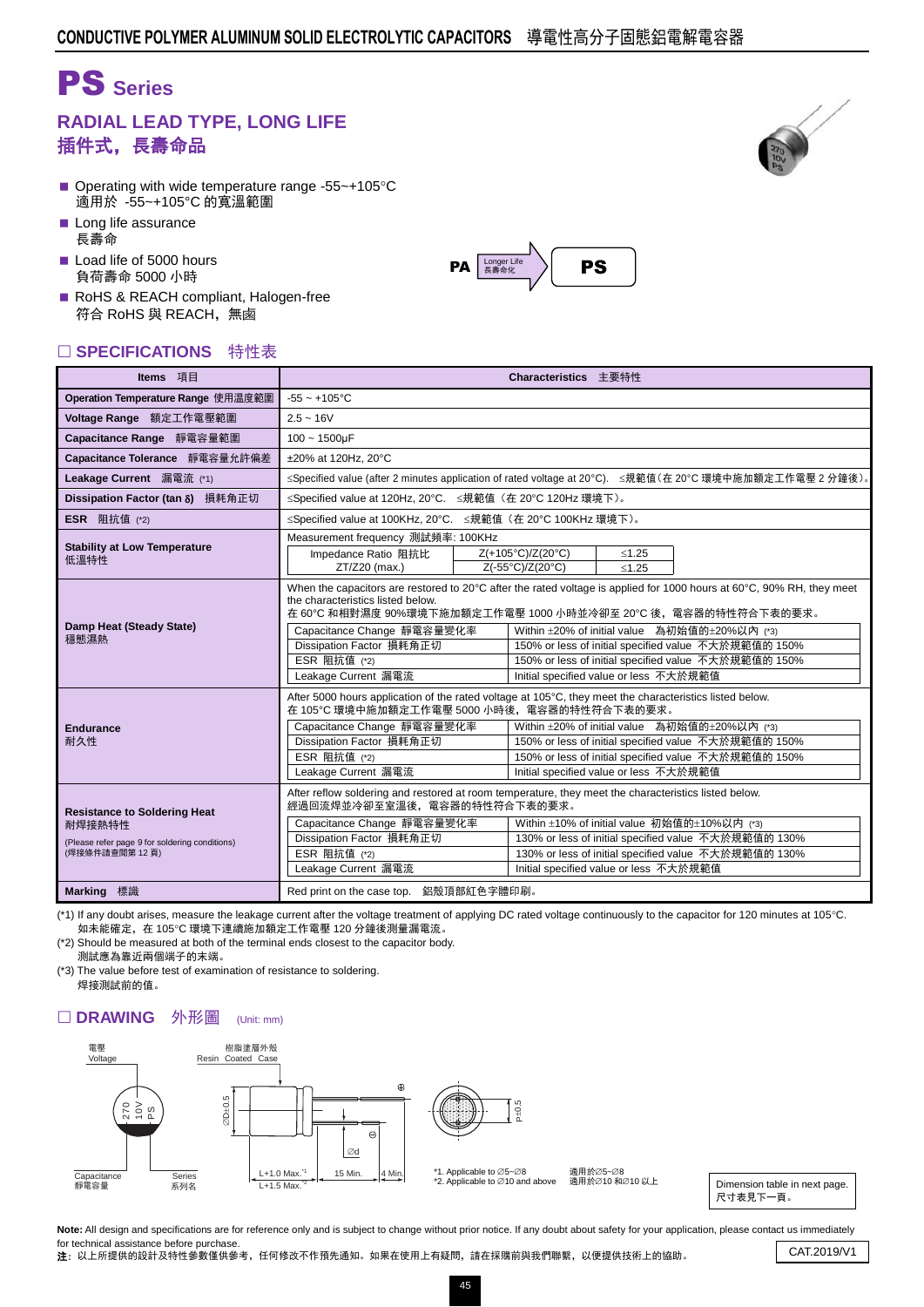# PS **Series**

### **RADIAL LEAD TYPE, LONG LIFE** 插件式,長壽命品

- Operating with wide temperature range -55 $\sim$ +105 $\degree$ C 適用於 -55~+105°C 的寬溫範圍
- Long life assurance 長壽命
- Load life of 5000 hours 負荷壽命 5000 小時
- RoHS & REACH compliant, Halogen-free 符合 RoHS 與 REACH,無鹵

#### □ SPECIFICATIONS 特性表

| Items 項目                                                                                                         | Characteristics 主要特性                                                                                                                                                                                                                                                                                                                                                                                                                                               |  |                                                                                                                                                                                                                                                                                                                                                                                                 |             |  |  |  |  |
|------------------------------------------------------------------------------------------------------------------|--------------------------------------------------------------------------------------------------------------------------------------------------------------------------------------------------------------------------------------------------------------------------------------------------------------------------------------------------------------------------------------------------------------------------------------------------------------------|--|-------------------------------------------------------------------------------------------------------------------------------------------------------------------------------------------------------------------------------------------------------------------------------------------------------------------------------------------------------------------------------------------------|-------------|--|--|--|--|
| Operation Temperature Range 使用温度範圍                                                                               | $-55 - +105$ °C                                                                                                                                                                                                                                                                                                                                                                                                                                                    |  |                                                                                                                                                                                                                                                                                                                                                                                                 |             |  |  |  |  |
| Voltage Range 額定工作電壓範圍                                                                                           | $2.5 - 16V$                                                                                                                                                                                                                                                                                                                                                                                                                                                        |  |                                                                                                                                                                                                                                                                                                                                                                                                 |             |  |  |  |  |
| Capacitance Range 靜電容量範圍                                                                                         | $100 - 1500$ uF                                                                                                                                                                                                                                                                                                                                                                                                                                                    |  |                                                                                                                                                                                                                                                                                                                                                                                                 |             |  |  |  |  |
| Capacitance Tolerance 靜電容量允許偏差                                                                                   | ±20% at 120Hz. 20°C                                                                                                                                                                                                                                                                                                                                                                                                                                                |  |                                                                                                                                                                                                                                                                                                                                                                                                 |             |  |  |  |  |
| Leakage Current 漏電流 (*1)                                                                                         | ≤Specified value (after 2 minutes application of rated voltage at 20°C). ≤規範值(在 20°C 環境中施加額定工作電壓 2 分鐘後)。                                                                                                                                                                                                                                                                                                                                                           |  |                                                                                                                                                                                                                                                                                                                                                                                                 |             |  |  |  |  |
| Dissipation Factor (tan δ) 損耗角正切                                                                                 | ≤Specified value at 120Hz, 20°C. ≤規範值 (在 20°C 120Hz 環境下)。                                                                                                                                                                                                                                                                                                                                                                                                          |  |                                                                                                                                                                                                                                                                                                                                                                                                 |             |  |  |  |  |
| <b>ESR</b> 阻抗值 (*2)                                                                                              | ≤Specified value at 100KHz, 20°C. ≤規範值 (在 20°C 100KHz 環境下)。                                                                                                                                                                                                                                                                                                                                                                                                        |  |                                                                                                                                                                                                                                                                                                                                                                                                 |             |  |  |  |  |
|                                                                                                                  | Measurement frequency 測試頻率: 100KHz                                                                                                                                                                                                                                                                                                                                                                                                                                 |  |                                                                                                                                                                                                                                                                                                                                                                                                 |             |  |  |  |  |
| <b>Stability at Low Temperature</b><br>低溫特性                                                                      | Impedance Ratio 阻抗比                                                                                                                                                                                                                                                                                                                                                                                                                                                |  | Z(+105°C)/Z(20°C)                                                                                                                                                                                                                                                                                                                                                                               | $≤1.25$     |  |  |  |  |
|                                                                                                                  | ZT/Z20 (max.)                                                                                                                                                                                                                                                                                                                                                                                                                                                      |  | Z(-55°C)/Z(20°C)                                                                                                                                                                                                                                                                                                                                                                                | $\leq 1.25$ |  |  |  |  |
| Damp Heat (Steady State)<br>穩態濕熱                                                                                 | the characteristics listed below.<br>Capacitance Change 靜電容量變化率<br>Dissipation Factor 損耗角正切<br>ESR 阻抗值 (*2)<br>Leakage Current 漏電流                                                                                                                                                                                                                                                                                                                                 |  | When the capacitors are restored to 20°C after the rated voltage is applied for 1000 hours at 60°C, 90% RH, they meet<br>在 60℃ 和相對濕度 90%環境下施加額定工作電壓 1000 小時並冷卻至 20℃ 後,電容器的特性符合下表的要求。<br>Within ±20% of initial value 為初始值的±20%以內 (*3)<br>150% or less of initial specified value 不大於規範值的 150%<br>150% or less of initial specified value 不大於規範值的 150%<br>Initial specified value or less 不大於規範值 |             |  |  |  |  |
| <b>Endurance</b><br>耐久性                                                                                          | After 5000 hours application of the rated voltage at 105°C, they meet the characteristics listed below.<br>在 105°C 環境中施加額定工作電壓 5000 小時後,電容器的特性符合下表的要求。<br>Within ±20% of initial value 為初始值的±20%以內 (*3)<br>Capacitance Change 靜電容量變化率<br>Dissipation Factor 損耗角正切<br>150% or less of initial specified value 不大於規範值的 150%<br>ESR 阻抗值 (*2)<br>150% or less of initial specified value 不大於規範值的 150%<br>Leakage Current 漏電流<br>Initial specified value or less 不大於規範值 |  |                                                                                                                                                                                                                                                                                                                                                                                                 |             |  |  |  |  |
| <b>Resistance to Soldering Heat</b><br>耐焊接熱特性<br>(Please refer page 9 for soldering conditions)<br>(焊接條件請查閱第12頁) | After reflow soldering and restored at room temperature, they meet the characteristics listed below.<br>經過回流焊並冷卻至室溫後,電容器的特性符合下表的要求。<br>Within ±10% of initial value 初始值的±10%以内 (*3)<br>Capacitance Change 靜電容量變化率<br>Dissipation Factor 損耗角正切<br>130% or less of initial specified value 不大於規範值的 130%<br>ESR 阻抗值 (*2)<br>130% or less of initial specified value 不大於規範值的 130%<br>Leakage Current 漏電流<br>Initial specified value or less 不大於規範值                     |  |                                                                                                                                                                                                                                                                                                                                                                                                 |             |  |  |  |  |
| <b>Marking</b> 標識                                                                                                | Red print on the case top. 鋁殼頂部紅色字體印刷。                                                                                                                                                                                                                                                                                                                                                                                                                             |  |                                                                                                                                                                                                                                                                                                                                                                                                 |             |  |  |  |  |

(\*1) If any doubt arises, measure the leakage current after the voltage treatment of applying DC rated voltage continuously to the capacitor for 120 minutes at 105°C. 如未能確定, 在 105℃ 環境下連續施加額定工作電壓 120 分鐘後測量漏電流。

(\*2) Should be measured at both of the terminal ends closest to the capacitor body. 測試應為靠近兩個端子的末端。

(\*3) The value before test of examination of resistance to soldering. 焊接測試前的值。

#### □ DRAWING 外形圖 (Unit: mm)



\*2. Applicable to  $\varnothing$ 10 and above

適用於∅5~Ø8 過用於⊘5~⊘o<br>適用於⊘10 和∅10 以上

Dimension table in next page. 尺寸表見下一頁。

Note: All design and specifications are for reference only and is subject to change without prior notice. If any doubt about safety for your application, please contact us immediately for technical assistance before purchase.

Tor technical assistance before purchase.<br>2: 以上所提供的設計及特性參數僅供參考,任何修改不作預先通知。如果在使用上有疑問,請在採購前與我們聯繫,以便提供技術上的協助。 CAT.2019/V1